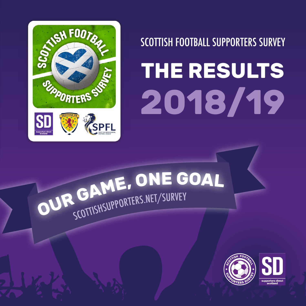

**SCOTTISH FOOTBALL SUPPORTERS SURVEY** 

# **THE RESULTS 2018/19**

# **<sup>O</sup>U<sup>R</sup> <sup>G</sup>AME, <sup>O</sup>N<sup>E</sup> <sup>G</sup>OA<sup>L</sup>** SCOTTISHSUPPORTERS.NET/SURVEY

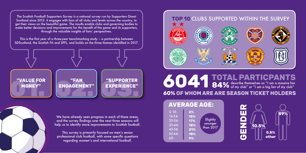The Scottish Football Supporters Survey is a national survey run by Supporters Direct Scotland since 2012. It engages with fans of all clubs and levels across the country, to get their views on the beautiful game. The results enable clubs and governing bodies to make better decisions and improvements for the benefit of the game and its supporters, through the valuable insights of fans' perspectives.

This is the first year of a three-year benchmarking study – a partnership between SDScotland, the Scottish FA and SPFL, and builds on the three themes identified in 2017.





We have already seen progress in each of these areas, and the survey findings over the next three seasons will help us to identify more improvements to Scottish football.

This survey is primarily focused on men's senior professional club football, with some specific questions regarding women's and international football.



## describe themselves as "I am a massive fan **84%** of my club" or "I am a big fan of my club" **EXPERIENCE" 6041 TOTAL PARTICPANTS60% OF WHOM ARE ARE SEASON TICKET HOLDERS**



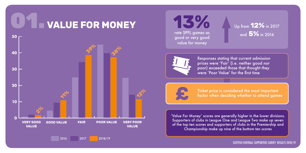





and **5%** in 2016



Responses stating that current admission prices were 'Fair' (i.e. neither good nor poor) exceeded those that thought they were 'Poor Value' for the first time



Ticket price is considered the most important<br>**factor when deciding whether** to attend games

'Value For Money' scores are generally higher in the lower divisions. Supporters of clubs in League One and League Two make up seven of the top ten scores and supporters of clubs in the Premiership and Championship make up nine of the bottom ten scores

SCOTTISH FOOTBALL SUPPORTERS SURVEY RESULTS 2018/19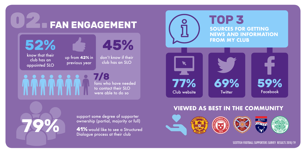**O2.** FAN ENGAGEMENT

**52%**



know that their club has an appointed SLO

**79%**

up from **42%** in previous year

don't know if their club has an SLO

**45%**

**7/8** fans who have needed to contact their SLO were able to do so

**SOURCES FOR GETTING NEWS AND INFORMATION FROM MY CLUB TOP 3 77% 69% 59%** Club website Twitter

### **VIEWED AS BEST IN THE COMMUNITY**



SCOTTISH FOOTBALL SUPPORTERS SURVEY RESULTS 2018/19

support some degree of supporter ownership (partial, majority or full)

**41%** would like to see a Structured Dialogue process at their club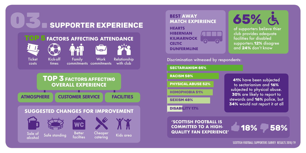





**41%** have been subjected to sectarianism and **16%** subjected to physical abuse. **30%** are likely to report to stewards and **16%** police, but **34%** would not report it at all **SECTARIANISM 85% RACISM 58% PHYSICAL ABUSE 52% HOMOPHOBIA 51% SEXISM 48% DISABILITY 17%**

**'SCOTTISH FOOTBALL IS COMMITTED TO A HIGH-QUALITY FAN EXPERIENCE' 18% 58%**



SCOTTISH FOOTBALL SUPPORTERS SURVEY RESULTS 2018/19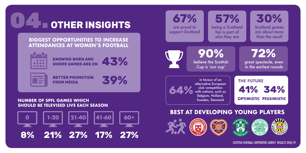

#### **BIGGEST OPPORTUNITIES TO INCREASE ATTENDANCES AT WOMEN'S FOOTBALL**

**43%**

**39%**



**KNOWING WHEN AND WHERE GAMES ARE ON**



**BETTER PROMOTION FROM MEDIA**

#### **NUMBER OF SPFL GAMES WHICH SHOULD BE TELEVISED LIVE EACH SEASON**





SCOTTISH FOOTBALL SUPPORTERS SURVEY RESULTS 2018/19